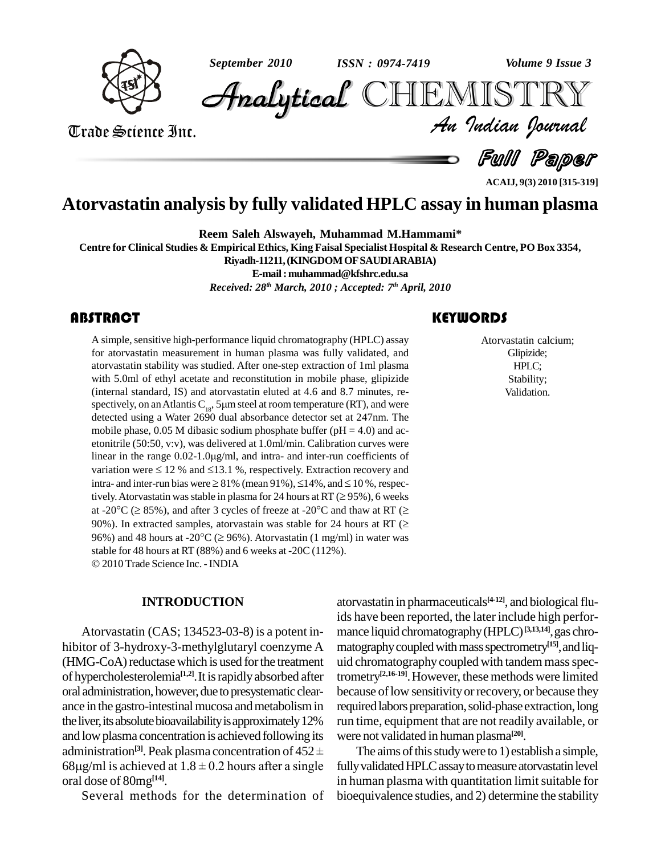

*ISSN : 0974-7419*

*September 2010 Volume 9 Issue 3*

*Volume 9 Issue 3*<br>IISTRY<br>*Indian Iournal* CHEMISTRY

Trade Science Inc. Trade Science Inc.

Full Paper

#### **ACAIJ, 9(3) 2010 [315-319]**

## **Atorvastatin analysis by fully validated HPLC assay in human plasma**

**Reem Saleh Alswayeh, Muhammad M.Hammami\***

Centre for Clinical Studies & Empirical Ethics, King Faisal Specialist Hospital & Research Centre, PO Box 3354,

**Riyadh-11211,(KINGDOMOFSAUDIARABIA)**

**E-mail:[muhammad@kfshrc.edu.sa](mailto:muhammad@kfshrc.edu.sa)** *Received: 28 th March, 2010 ; Accepted: 7 th April, 2010*

A simple, sensitive high-<br>for atorvastatin measure<br>atorvastatin stability was A simple, sensitive high-performance liquid chromatography (HPLC) assay for atorvastatin measurement in human plasma was fully validated, and atorvastatin stability was studied. After one-step extraction of 1ml plasma with 5.0ml of ethyl acetate and reconstitution in mobile phase, glipizide (internal standard, IS) and atorvastatin eluted at 4.6 and 8.7 minutes, re with 5.0ml of ethyl acetate and reconstitution in mobile phase, glipizide (internal standard, IS) and atorvastatin eluted at 4.6 and 8.7 minutes, respectively, on an Atlantis  $C_{18}$ , 5 $\mu$ m steel at room temperature (RT) detected using a Water 2690 dual absorbance detector set at 247nm. The mobile phase, 0.05 M dibasic sodium phosphate buffer ( $pH = 4.0$ ) and acetonitrile (50:50, v:v), was delivered at 1.0ml/min. Calibration curves were mobile phase, 0.05 M dibasic sodium phosphate buffer (pH = 4.0) and ac-<br>etonitrile (50:50, v:v), was delivered at 1.0ml/min. Calibration curves were<br>linear in the range 0.02-1.0 $\mu$ g/ml, and intra- and inter-run coefficie etonitrile (50:50, v:v), was delivered at 1.0ml/min. Calibration curves were<br>linear in the range  $0.02$ -1.0 $\mu$ g/ml, and intra- and inter-run coefficients of<br>variation were  $\leq 12$  % and  $\leq 13.1$  %, respectively. Extra linear in the range  $0.02$ -1.0 $\mu$ g/ml, and intra- and inter-run coefficients of variation were  $\leq 12$  % and  $\leq 13.1$  %, respectively. Extraction recovery and intra- and inter-run bias were  $\geq 81$ % (mean 91%),  $\leq$ variation were  $\leq 12$  % and  $\leq 13.1$  %, respectively. Extraction recovery and intra- and inter-run bias were  $\geq 81\%$  (mean 91%),  $\leq 14\%$ , and  $\leq 10\%$ , respectively. Atorvastatin was stable in plasma for 24 ho intra- and inter-run bias were  $\geq 81\%$  (mean 91%),  $\leq 14\%$ , and  $\leq 10\%$ , respectively. Atorvastatin was stable in plasma for 24 hours at RT ( $\geq 95\%$ ), 6 weeks at -20<sup>o</sup>C ( $\geq 85\%$ ), and after 3 cycles of fre tively. Atorvastatin was stable in plasma for 24 hours at RT ( $\geq$  95%), 6 weeks at -20°C ( $\geq$  85%), and after 3 cycles of freeze at -20°C and thaw at RT ( $\geq$  90%). In extracted samples, atorvastain was stable for 24 at -20°C ( $\geq$  85%), and after 3 cycles of freeze at -20°C and thaw at RT ( $\geq$  90%). In extracted samples, atorvastain was stable for 24 hours at RT ( $\geq$  96%) and 48 hours at -20°C ( $\geq$  96%). Atorvastatin (1 mg/ml) 96%) and 48 hours at -20°C ( $\geq$  96%). Atorvastatin (1 mg/ml) in water was stable for 48 hours at RT (88%) and 6 weeks at -20C (112%). 2010 Trade Science Inc. -INDIA

#### **INTRODUCTION**

Atorvastatin (CAS; 134523-03-8) is a potent in hibitor of 3-hydroxy-3-methylglutaryl coenzyme A (HMG-CoA) reductase which is used for the treatment of hypercholesterolemia<sup>[1,2]</sup>. It is rapidly absorbed after tron oral administration, however, due to presystematic clearance in the gastro-intestinal mucosa and metabolism in the liver, its absolute bioavailability is approximately 12% and low plasma concentration is achieved following its the liver, its absolute bioavailability is approximately 12% run time<br>and low plasma concentration is achieved following its were no<br>administration<sup>[3]</sup>. Peak plasma concentration of  $452 \pm$  The 68 $\mu$ g/ml is achieved at 1.8  $\pm$  0.2 hours after a single oral dose of 80mg **[14]**.

Several methods for the determination of

atorvastatin in pharmaceuticals<sup>[4-12]</sup>, and biological fluids have been reported, the later include high perfor mance liquid chromatography(HPLC) **[3,13,14]**,gas chro matography coupled with mass spectrometry<sup>[15]</sup>, and liquid chromatography coupled with tandem mass spectrometry **[2,16-19]**.However, these methods were limited because of low sensitivity or recovery, or because they required labors preparation, solid-phase extraction, long run time, equipment that are not readily available, or were not validated in human plasma **[20]**.

The aims of this study were to 1) establish a simple, fully validated HPLC assay to measure atorvastatin level in human plasma with quantitation limit suitable for bioequivalence studies, and 2) determine the stability

#### **KEYWORDS**

Atorvastatin calc<br>Glipizide;<br>HPLC; Atorvastatin calcium; Glipizide; HPLC; Stability; Validation.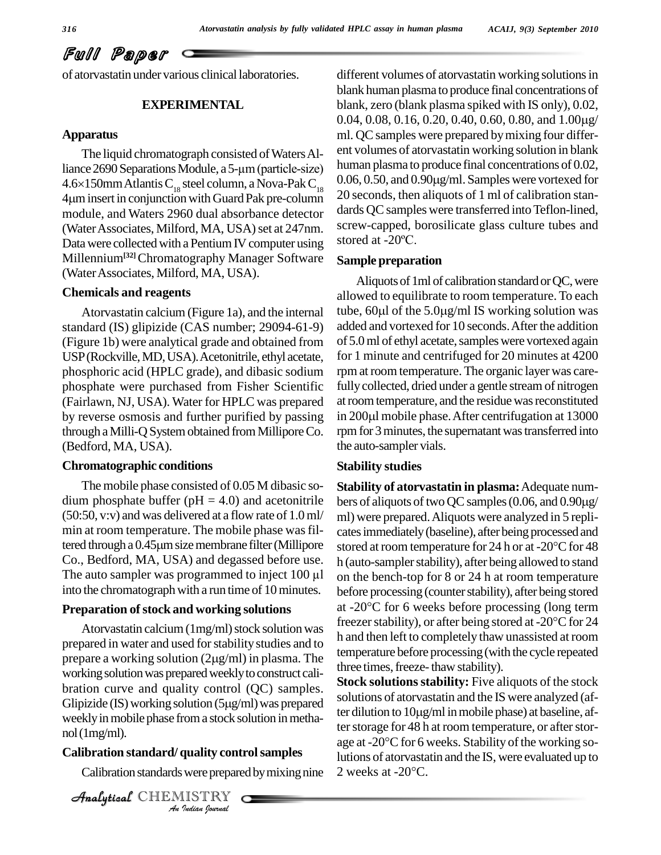Full Paper

of atorvastatin under various clinical laboratories.

#### **EXPERIMENTAL**

#### **Apparatus**

The liquid chromatograph consisted of Waters Alliance 2690 Separations Module, a 5-µm (particle-size) human plasma to produce final concentrations of 0.02,<br> $\frac{4.6 \times 150 \text{ mm}}{4.0 \times 150 \text{ mm}}$  Atlantis C steel column a Nova-Pak C  $\frac{0.06, 0.50}{0.06, 0.50}$  and 0.90µg/m The liquid chromatograph consisted of Waters All-<br>liance 2690 Separations Module, a 5-µm (particle-size) hund<br>4.6×150mm Atlantis C<sub>18</sub> steel column, a Nova-Pak C<sub>18</sub> 0.0 liance 2690 Separations Module, a 5-µm (particle-size) human<br>4.6×150mm Atlantis C<sub>18</sub> steel column, a Nova-Pak C<sub>18</sub> 0.06, 0.<br>4µm insert in conjunction with Guard Pak pre-column 20 secc module, and Waters 2960 dual absorbance detector (Water Associates, Milford, MA, USA) set at  $247$ nm.  $\frac{\text{screened}}{\text{Stres}}$ , the Data were collected with a Pentium IV computer using stored at  $-20^{\circ}\text{C}$ . Data were collected with a Pentium IV computer using Millennium**[32]**Chromatography Manager Software (WaterAssociates, Milford, MA, USA).

#### **Chemicals and reagents**

standard (IS) glipizide (CAS number; 29094-61-9) (Figure 1b) were analytical grade and obtained from USP(Rockville,MD,USA).Acetonitrile, ethyl acetate, phosphoric acid (HPLC grade), and dibasic sodium phosphate were purchased from Fisher Scientific (Fairlawn, NJ, USA). Water for HPLC was prepared by reverse osmosis and further purified by passing in 200 $\mu$ l mobile phase. After centrifugation at 13000 through a Milli-Q System obtained from Millipore Co. (Bedford, MA, USA).

#### **Chromatographic conditions**

The mobile phase consisted of 0.05 M dibasic so dium phosphate buffer ( $pH = 4.0$ ) and acetonitrile (50:50, v:v) and was delivered at a flow rate of 1.0ml/ min at room temperature. The mobile phase was fil- $(50:50, v:v)$  and was delivered at a flow rate of  $1.0 \text{ ml}$  ml) w<br>min at room temperature. The mobile phase was fil-<br>tered through a 0.45µm size membrane filter (Millipore stored Co., Bedford, MA, USA) and degassed before use. tered through a 0.45 $\mu$ m size membrane filter (Millipore store<br>Co., Bedford, MA, USA) and degassed before use. h (at<br>The auto sampler was programmed to inject 100  $\mu$ l on t into the chromatograph with a run time of 10 minutes.

#### **Preparation of stock and working solutions**

weekly in mobile phase from a stock solution in metha-*I*<br>**Indian**<br>**I**<br>**IISTRY**<br>*Indian bournal* prepared in water and used for stability studies and to  $\frac{1}{2}$ Atorvastatin calcium (1mg/ml) stock solution was<br>prepared in water and used for stability studies and to<br>prepare a working solution (2µg/ml) in plasma. The working solution was prepared weekly to construct calibration curve and quality control  $(QC)$  samples.  $\mathbf{R}^{\text{U}}$ working solution was prepared weekly to construct cali-<br>bration curve and quality control (QC) samples.<br>Glipizide (IS) working solution (5µg/ml) was prepared nol(1mg/ml).

#### **Calibration standard/ quality controlsamples**

Calibration standards were prepared by mixing nine  $\,$  2 weeks at -20 $^{\circ}$ C.

CHEMISTRY

different volumes of atorvastatin working solutions in blank human plasma to produce final concentrations of<br>blank, zero (blank plasma spiked with IS only), 0.02,<br>0.04, 0.08, 0.16, 0.20, 0.40, 0.60, 0.80, and 1.00µg/ blank, zero (blank plasma spiked with IS only), 0.02, ml. QC samples were prepared by mixing four different volumes of atorvastatin working solution in blank 0.06, 0.50, and 0.90g/ml. Samples were vortexed for human plasma to produce final concentrations of 0.02, 20 seconds, then aliquots of 1 ml of calibration stan dards QC samples were transferred into Teflon-lined,<br>screw-capped, borosilicate glass culture tubes and<br>stored at -20°C. screw-capped, borosilicate glass culture tubes and

#### **Sample preparation**

Atorvastatin calcium (Figure 1a), and the internal tube,  $60\mu$  of the  $5.0\mu$ g/ml IS working solution was Aliquots of 1ml of calibration standard or QC, were allowed to equilibrate to room temperature. To each Aliquots of 1ml of calibration standard or QC, were<br>allowed to equilibrate to room temperature. To each<br>tube, 60µl of the 5.0µg/ml IS working solution was added and vortexed for 10 seconds. After the addition of 5.0 ml of ethyl acetate, samples were vortexed again for 1 minute and centrifuged for 20 minutes at 4200 rpm at room temperature. The organic layer was carefully collected, dried under a gentle stream of nitrogen<br>at room temperature, and the residue was reconstituted<br>in 200µl mobile phase. After centrifugation at 13000 at room temperature, and the residue was reconstituted rpm for 3 minutes, the supernatant was transferred into the auto-sampler vials.

#### **Stability studies**

Atorvastatin calcium (1mg/ml) stock solution was freezer stability), or after being stored at -20 $^{\circ}$ C for 24 **Stability of atorvastatin in plasma:**Adequate num bers of aliquots of two QC samples (0.06, and  $0.90\mu$ g/ ml) were prepared.Aliquots were analyzed in 5 repli catesimmediately(baseline), after being processed and ml) were prepared. Aliquots were analyzed in 5 replicates immediately (baseline), after being processed and stored at room temperature for 24 h or at -20°C for 48 h (auto-sampler stability), after being allowed to stand on the bench-top for 8 or 24 h at room temperature before processing (counter stability), after being stored on the bench-top for 8 or 24 h at room temperature<br>before processing (counter stability), after being stored<br>at -20°C for 6 weeks before processing (long term before processing (counter stability), after being stored<br>at -20°C for 6 weeks before processing (long term<br>freezer stability), or after being stored at -20°C for 24 h and then left to completely thaw unassisted at room temperature before processing(with the cycle repeated three times, freeze-thaw stability).

> **Stock solutions stability:** Five aliquots of the stock solutions of atorvastatin and the IS were analyzed (af-Stock solutions stability: Five aliquots of the stock<br>solutions of atorvastatin and the IS were analyzed (af-<br>ter dilution to 10µg/ml in mobile phase) at baseline, after storage for 48 h at room temperature, or after storter dilution to 10µg/ml in mobile phase) at baseline, af-<br>ter storage for 48 h at room temperature, or after stor-<br>age at -20°C for 6 weeks. Stability of the working solutions of atorvastatin and the IS, were evaluated up to age at -20°C for 6 weeks. Stability of the working so-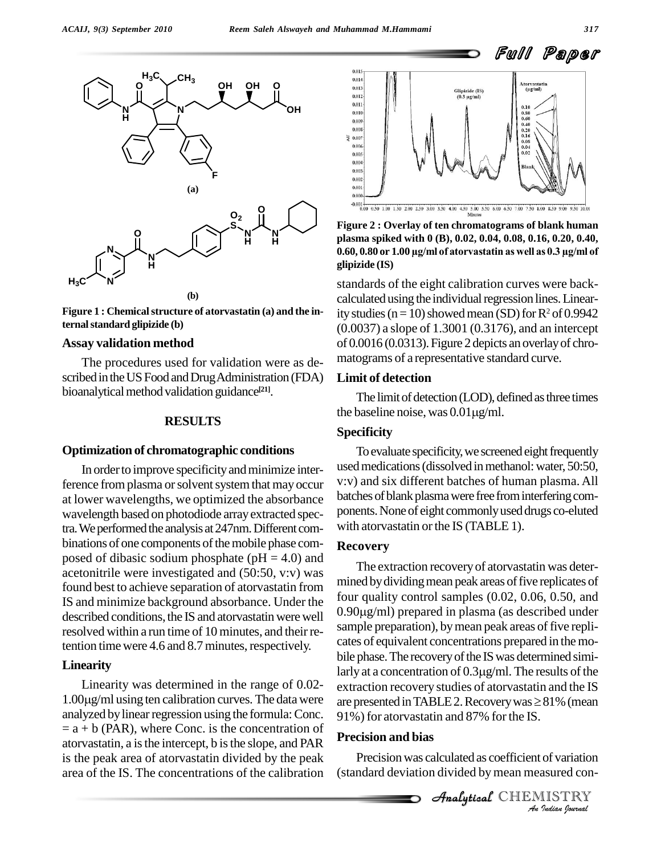

**Figure** 1 : Chemical structure of atorvastatin (a) and the in**ternalstandard glipizide (b)**

#### **Assay validation method**

The procedures used for validation were as de scribed in the US Food and Drug Administration (FDA) bioanalytical method validation guidance<sup>[21]</sup>.

#### **RESULTS**

#### **Optimization of chromatographic conditions**

In order to improve specificity and minimize interference from plasma or solvent system that may occur at lower wavelengths, we optimized the absorbance wavelength based on photodiode arrayextracted spectra. We performed the analysis at 247nm. Different combinations of one components of the mobile phase composed of dibasic sodium phosphate ( $pH = 4.0$ ) and acetonitrile were investigated and (50:50, v:v) was found best to achieve separation of atorvastatin from described conditions, the IS and atorvastatin were well resolved within a run time of 10 minutes, and their retention time were 4.6 and 8.7 minutes, respectively.

#### **Linearity**

Linearity was determined in the range of 0.02- 1.00 $\mu$ g/ml using ten calibration curves. The data were are presented in TABLE 2. Recovery was  $\geq$  81% (mean analyzed by linear regression using the formula: Conc.  $=$  a + b (PAR), where Conc. is the concentration of atorvastatin, a isthe intercept, b isthe slope, and PAR is the peak area of atorvastatin divided by the peak area of the IS. The concentrations of the calibration



**Figure 2 : Overlay of ten chromatograms of blank human plasma spiked with 0 (B), 0.02, 0.04, 0.08, 0.16, 0.20, 0.40, 0.60, 0.80 or 1.00 µg/ml of atorvastatin as well as 0.3 µg/ml of glipizide (IS)**

standards of the eight calibration curves were back calculated using the individual regression lines. Linearity studies ( $n=10$ ) showed mean (SD) for  $R^2$  of 0.9942 (0.0037) a slope of 1.3001 (0.3176), and an intercept of 0.0016 (0.0313).Figure 2 depicts an overlayof chro matograms of a representative standard curve.

#### **Limit of detection**

The limit of detection (LOD), defined as three times Limit of detection<br>The limit of detection (LOD), defined<br>the baseline noise, was  $0.01 \mu\text{g/ml}.$ 

#### **Specificity**

To evaluate specificity, we screened eight frequently used medications (dissolved in methanol: water, 50:50, v:v) and six different batches of human plasma. All batches of blank plasma were free from interfering components. None of eight commonly used drugs co-eluted with atorvastatin or the IS (TABLE 1).

#### **Recovery**

91%) for atorvastatin and 87% for the IS. IS and minimize background absorbance. Under the  $100r$  quanty control samples (0.02, 0.06, 0.50, and described conditions the IS and atorvactoring word under  $0.90\mu\text{g/ml})$  prepared in plasma (as described under The extraction recovery of atorvastatin was determined by dividing mean peak areas of five replicates of<br>four quality control samples (0.02, 0.06, 0.50, and<br>0.90µg/ml) prepared in plasma (as described under four quality control samples (0.02, 0.06, 0.50, and sample preparation), by mean peak areas of five replicates of equivalent concentrations prepared in themo bile phase. The recovery of the IS was determined simicates of equivalent concentrations prepared in the mobile phase. The recovery of the IS was determined similarly at a concentration of  $0.3\mu g/ml$ . The results of the extraction recovery studies of atorvastatin and the IS larly at a concentration of  $0.3\mu g/ml$ . The results of the<br>extraction recovery studies of atorvastatin and the IS<br>are presented in TABLE 2. Recovery was  $\geq 81\%$  (mean

### **Precision and bias**

*I*<br>*IISTRY*<br>*IISTRY*<br>*Indian <sup><i>Iournal*</sup> Precision was calculated as coefficient of variation (standard deviation divided bymean measured con-

**Analytical** CHEMISTRY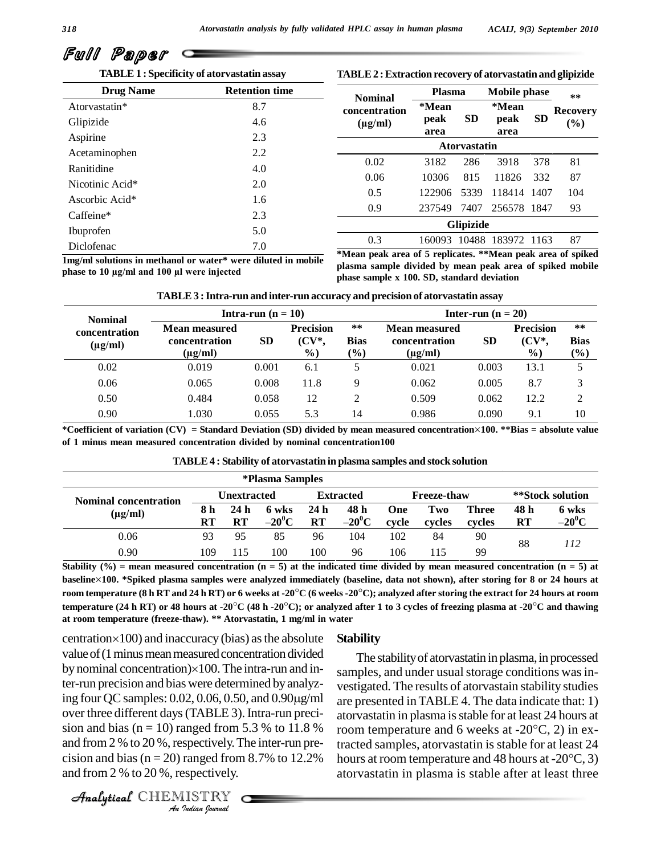

**TABLE1 : Specificity of atorvastatin assay**

#### **TABLE2 :Extraction recovery of atorvastatin and glipizide**

| <b>Drug Name</b> | <b>Retention time</b> | <b>Nominal</b>      | <b>Plasma</b> | <b>Mobile phase</b> |             |           | $**$            |  |  |
|------------------|-----------------------|---------------------|---------------|---------------------|-------------|-----------|-----------------|--|--|
| Atorvastatin*    | 8.7                   | concentration       | *Mean         |                     | *Mean       |           | <b>Recovery</b> |  |  |
| Glipizide        | 4.6                   | $(\mu g/ml)$        | peak          | <b>SD</b>           | peak        | <b>SD</b> | (%)             |  |  |
| Aspirine         | 2.3                   |                     | area          |                     | area        |           |                 |  |  |
| Acetaminophen    | 2.2                   | <b>Atoryastatin</b> |               |                     |             |           |                 |  |  |
| Ranitidine       | 4.0                   | 0.02                | 3182          | 286                 | 3918        | 378       | 81              |  |  |
|                  |                       | 0.06                | 10306         | 815                 | 11826       | 332       | 87              |  |  |
| Nicotinic Acid*  | 2.0                   | 0.5                 | 122906        | 5339                | 118414 1407 |           | 104             |  |  |
| Ascorbic Acid*   | 1.6                   |                     |               |                     |             |           |                 |  |  |
| Caffeine*        | 2.3                   | 0.9                 | 237549        | 7407                | 256578 1847 |           | 93              |  |  |
| Ibuprofen        | 5.0                   | <b>Glipizide</b>    |               |                     |             |           |                 |  |  |
|                  |                       | 0.3                 | 160093        | 10488               | 183972 1163 |           | 87              |  |  |
| Diclofenac       | 7.0                   | $\cdots$            | $\sim$ $\sim$ |                     |             |           | .               |  |  |

**1mg/ml solutions in methanol or water\* were diluted in mobile phase 100 h**<br> **100 100 n 100 n 100 n 100 n 100 n i n e injected**<br> **phase to 10 µg/ml** and 100 **µl** were injected

**\*Mean peak area of 5 replicates. \*\*Mean peak area ofspiked plasma sample divided by mean peak area of spiked mobile phase sample x 100. SD, standard deviation**

| <b>Nominal</b>                |                                                | Intra-run $(n = 10)$ |                                      | Inter-run $(n = 20)$                     |                                                |           |                                                |                             |  |
|-------------------------------|------------------------------------------------|----------------------|--------------------------------------|------------------------------------------|------------------------------------------------|-----------|------------------------------------------------|-----------------------------|--|
| concentration<br>$(\mu g/ml)$ | Mean measured<br>concentration<br>$(\mu g/ml)$ | <b>SD</b>            | <b>Precision</b><br>$(CV^*,$<br>$\%$ | $***$<br><b>Bias</b><br>$\mathcal{O}(6)$ | Mean measured<br>concentration<br>$(\mu g/ml)$ | <b>SD</b> | <b>Precision</b><br>$(CV^*$ .<br>$\frac{6}{9}$ | $***$<br><b>Bias</b><br>(%) |  |
| 0.02                          | 0.019                                          | 0.001                | 6.1                                  |                                          | 0.021                                          | 0.003     | 13.1                                           |                             |  |
| 0.06                          | 0.065                                          | 0.008                | 11.8                                 | Q                                        | 0.062                                          | 0.005     | 8.7                                            |                             |  |
| 0.50                          | 0.484                                          | 0.058                | 12                                   | ↑                                        | 0.509                                          | 0.062     | 12.2                                           |                             |  |
| 0.90                          | 1.030                                          | 0.055                | 5.3                                  | 14                                       | 0.986                                          | 0.090     | 9.1                                            | 10                          |  |

\*Coefficient of variation  $(CV)$  = Standard Deviation (SD) divided by mean measured concentration×100. \*\*Bias = absolute value **of 1 minus mean measured concentration divided by nominal concentration100**

| TABLE 4 : Stability of atorvastatin in plasma samples and stock solution |  |
|--------------------------------------------------------------------------|--|
|--------------------------------------------------------------------------|--|

|                                              |                    |                                 | <i><b>*Plasma Samples</b></i> |                              |                    |              |               |                        |                   |                   |
|----------------------------------------------|--------------------|---------------------------------|-------------------------------|------------------------------|--------------------|--------------|---------------|------------------------|-------------------|-------------------|
| <b>Nominal concentration</b><br>$(\mu g/ml)$ | <b>Unextracted</b> |                                 | <b>Extracted</b>              |                              | <b>Freeze-thaw</b> |              |               | **Stock solution       |                   |                   |
|                                              | 8 h<br>RT          | 24 <sub>h</sub><br>$\mathbf{R}$ | 6 wks<br>$-20^0C$             | 24 <sub>h</sub><br><b>RT</b> | 48 h<br>$-20^0C$   | One<br>cycle | Two<br>cycles | <b>Three</b><br>cycles | 48 h<br><b>RT</b> | 6 wks<br>$-20^0C$ |
| 0.06                                         | 93                 | 95                              | 85                            | 96                           | 104                | 102          | 84            | 90                     | 88                | 112               |
| 0.90                                         | 109                |                                 | 100                           | 100                          | 96                 | 106          | l 15          | 99                     |                   |                   |

temperature (24 h RT) or 48 hours at -20 $^{\circ}$ C (48 h -20 $^{\circ}$ C); or analyzed after 1 to 3 cycles of freezing plasma at -20 $^{\circ}$ C and thawing Stability (%) = mean measured concentration ( $n = 5$ ) at the indicated time divided by mean measured concentration ( $n = 5$ ) at baseline×100. \*Spiked plasma samples were analyzed immediately (baseline, data not shown), after storing for 8 or 24 hours at Stability (%) = mean measured concentration (n = 5) at the indicated time divided by mean measured concentration (n = 5) at<br>baseline×100. \*Spiked plasma samples were analyzed immediately (baseline, data not shown), after baseline×100. \*Spiked plasma samples were analyzed immediately (baseline, data not shown), after storing for 8 or 24 hours at<br>room temperature (8 h RT and 24 h RT) or 6 weeks at -20°C (6 weeks -20°C); analyzed after storin **at room temperature (freeze-thaw). \*\* Atorvastatin, 1 mg/ml in water**

over three different days (TABLE 3). Intra-run preci- atom *I*<br>anged from <br>*Indian Indian*<br>*IISTRY*<br>*<i>Indian hournal*  $\frac{1}{2}$  and bias (n = 10) ranged from 5.3 % to 11.8 % room temper value of (1 minus mean measured concentration divided centration $\times$ 100) and inaccuracy (bias) as the absolute<br>value of (1 minus mean measured concentration divided<br>by nominal concentration) $\times$ 100. The intra-run and inter-run precision and bias were determined by analyzing four QC samples:  $0.02$ ,  $0.06$ ,  $0.50$ , and  $0.90\mu\text{g/ml}$ and from  $2\%$  to  $20\%$ , respectively. The inter-run preand from 2 % to 20 %, respectively.

CHEMISTRY

#### **Stability**

cision and bias ( $n = 20$ ) ranged from 8.7% to 12.2% hours at room temperature and 48 hours at -20 $^{\circ}$ C, 3) The stability of atorvastatin in plasma, in processed samples, and under usual storage conditions was investigated. The results of atorvastain stability studies are presented inTABLE 4. The data indicate that: 1) atorvastatin in plasma isstable for at least 24 hours at are presented in TABLE 4. The data indicate that: 1)<br>atorvastatin in plasma is stable for at least 24 hours at<br>room temperature and 6 weeks at -20 $^{\circ}$ C, 2) in extracted samples, atorvastatin is stable for at least 24 room temperature and 6 weeks at -20°C, 2) in ex-<br>tracted samples, atorvastatin is stable for at least 24<br>hours at room temperature and 48 hours at -20°C, 3) atorvastatin in plasma is stable after at least three